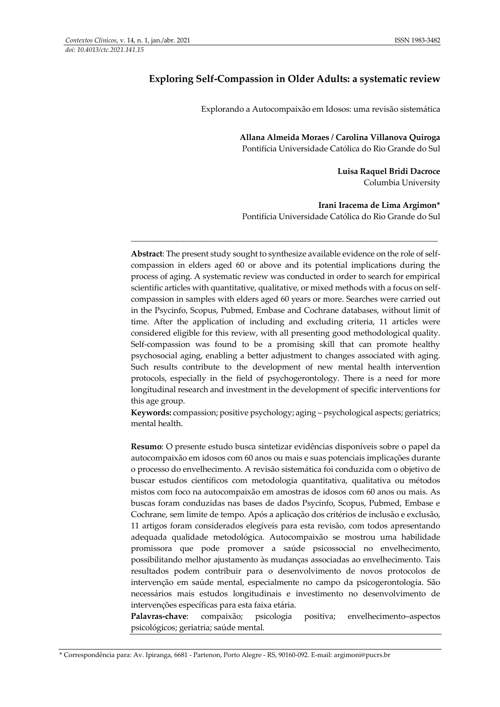## **Exploring Self-Compassion in Older Adults: a systematic review**

Explorando a Autocompaixão em Idosos: uma revisão sistemática

**Allana Almeida Moraes / Carolina Villanova Quiroga** Pontifícia Universidade Católica do Rio Grande do Sul

> **Luisa Raquel Bridi Dacroce** Columbia University

**Irani Iracema de Lima Argimon\*** Pontifícia Universidade Católica do Rio Grande do Sul

**Abstract**: The present study sought to synthesize available evidence on the role of selfcompassion in elders aged 60 or above and its potential implications during the process of aging. A systematic review was conducted in order to search for empirical scientific articles with quantitative, qualitative, or mixed methods with a focus on selfcompassion in samples with elders aged 60 years or more. Searches were carried out in the Psycinfo, Scopus, Pubmed, Embase and Cochrane databases, without limit of time. After the application of including and excluding criteria, 11 articles were considered eligible for this review, with all presenting good methodological quality. Self-compassion was found to be a promising skill that can promote healthy psychosocial aging, enabling a better adjustment to changes associated with aging. Such results contribute to the development of new mental health intervention protocols, especially in the field of psychogerontology. There is a need for more longitudinal research and investment in the development of specific interventions for this age group.

\_\_\_\_\_\_\_\_\_\_\_\_\_\_\_\_\_\_\_\_\_\_\_\_\_\_\_\_\_\_\_\_\_\_\_\_\_\_\_\_\_\_\_\_\_\_\_\_\_\_\_\_\_\_\_\_\_\_\_\_\_\_\_\_\_\_\_\_\_\_\_\_\_\_\_\_\_\_\_\_\_\_\_\_\_\_\_\_

**Keywords:** compassion; positive psychology; aging – psychological aspects; geriatrics; mental health.

**Resumo**: O presente estudo busca sintetizar evidências disponíveis sobre o papel da autocompaixão em idosos com 60 anos ou mais e suas potenciais implicações durante o processo do envelhecimento. A revisão sistemática foi conduzida com o objetivo de buscar estudos científicos com metodologia quantitativa, qualitativa ou métodos mistos com foco na autocompaixão em amostras de idosos com 60 anos ou mais. As buscas foram conduzidas nas bases de dados Psycinfo, Scopus, Pubmed, Embase e Cochrane, sem limite de tempo. Após a aplicação dos critérios de inclusão e exclusão, 11 artigos foram considerados elegíveis para esta revisão, com todos apresentando adequada qualidade metodológica. Autocompaixão se mostrou uma habilidade promissora que pode promover a saúde psicossocial no envelhecimento, possibilitando melhor ajustamento às mudanças associadas ao envelhecimento. Tais resultados podem contribuir para o desenvolvimento de novos protocolos de intervenção em saúde mental, especialmente no campo da psicogerontologia. São necessários mais estudos longitudinais e investimento no desenvolvimento de intervenções específicas para esta faixa etária.

**Palavras-chave**: compaixão; psicologia positiva; envelhecimento–aspectos psicológicos; geriatria; saúde mental.

<sup>\*</sup> Correspondência para: Av. Ipiranga, 6681 - Partenon, Porto Alegre - RS, 90160-092. E-mail: argimoni@pucrs.br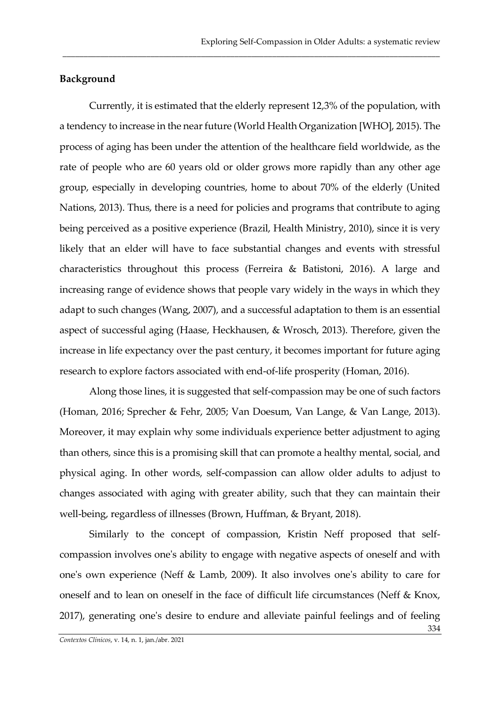### **Background**

Currently, it is estimated that the elderly represent 12,3% of the population, with a tendency to increase in the near future (World Health Organization [WHO], 2015). The process of aging has been under the attention of the healthcare field worldwide, as the rate of people who are 60 years old or older grows more rapidly than any other age group, especially in developing countries, home to about 70% of the elderly (United Nations, 2013). Thus, there is a need for policies and programs that contribute to aging being perceived as a positive experience (Brazil, Health Ministry, 2010), since it is very likely that an elder will have to face substantial changes and events with stressful characteristics throughout this process (Ferreira & Batistoni, 2016). A large and increasing range of evidence shows that people vary widely in the ways in which they adapt to such changes (Wang, 2007), and a successful adaptation to them is an essential aspect of successful aging (Haase, Heckhausen, & Wrosch, 2013). Therefore, given the increase in life expectancy over the past century, it becomes important for future aging research to explore factors associated with end-of-life prosperity (Homan, 2016).

\_\_\_\_\_\_\_\_\_\_\_\_\_\_\_\_\_\_\_\_\_\_\_\_\_\_\_\_\_\_\_\_\_\_\_\_\_\_\_\_\_\_\_\_\_\_\_\_\_\_\_\_\_\_\_\_\_\_\_\_\_\_\_\_\_\_\_\_\_\_\_\_\_\_\_\_\_\_\_\_\_\_\_\_\_\_\_\_\_\_

Along those lines, it is suggested that self-compassion may be one of such factors (Homan, 2016; Sprecher & Fehr, 2005; Van Doesum, Van Lange, & Van Lange, 2013). Moreover, it may explain why some individuals experience better adjustment to aging than others, since this is a promising skill that can promote a healthy mental, social, and physical aging. In other words, self-compassion can allow older adults to adjust to changes associated with aging with greater ability, such that they can maintain their well-being, regardless of illnesses (Brown, Huffman, & Bryant, 2018).

Similarly to the concept of compassion, Kristin Neff proposed that selfcompassion involves one's ability to engage with negative aspects of oneself and with one's own experience (Neff & Lamb, 2009). It also involves one's ability to care for oneself and to lean on oneself in the face of difficult life circumstances (Neff & Knox, 2017), generating one's desire to endure and alleviate painful feelings and of feeling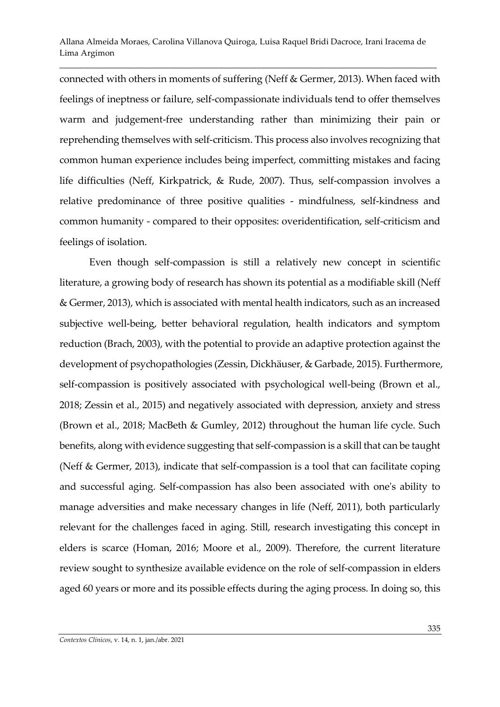\_\_\_\_\_\_\_\_\_\_\_\_\_\_\_\_\_\_\_\_\_\_\_\_\_\_\_\_\_\_\_\_\_\_\_\_\_\_\_\_\_\_\_\_\_\_\_\_\_\_\_\_\_\_\_\_\_\_\_\_\_\_\_\_\_\_\_\_\_\_\_\_\_\_\_\_\_\_\_\_\_\_\_\_\_\_\_\_\_\_

connected with others in moments of suffering (Neff & Germer, 2013). When faced with feelings of ineptness or failure, self-compassionate individuals tend to offer themselves warm and judgement-free understanding rather than minimizing their pain or reprehending themselves with self-criticism. This process also involves recognizing that common human experience includes being imperfect, committing mistakes and facing life difficulties (Neff, Kirkpatrick, & Rude, 2007). Thus, self-compassion involves a relative predominance of three positive qualities - mindfulness, self-kindness and common humanity - compared to their opposites: overidentification, self-criticism and feelings of isolation.

Even though self-compassion is still a relatively new concept in scientific literature, a growing body of research has shown its potential as a modifiable skill (Neff & Germer, 2013), which is associated with mental health indicators, such as an increased subjective well-being, better behavioral regulation, health indicators and symptom reduction (Brach, 2003), with the potential to provide an adaptive protection against the development of psychopathologies (Zessin, Dickhäuser, & Garbade, 2015). Furthermore, self-compassion is positively associated with psychological well-being (Brown et al., 2018; Zessin et al., 2015) and negatively associated with depression, anxiety and stress (Brown et al., 2018; MacBeth & Gumley, 2012) throughout the human life cycle. Such benefits, along with evidence suggesting that self-compassion is a skill that can be taught (Neff & Germer, 2013), indicate that self-compassion is a tool that can facilitate coping and successful aging. Self-compassion has also been associated with one's ability to manage adversities and make necessary changes in life (Neff, 2011), both particularly relevant for the challenges faced in aging. Still, research investigating this concept in elders is scarce (Homan, 2016; Moore et al., 2009). Therefore, the current literature review sought to synthesize available evidence on the role of self-compassion in elders aged 60 years or more and its possible effects during the aging process. In doing so, this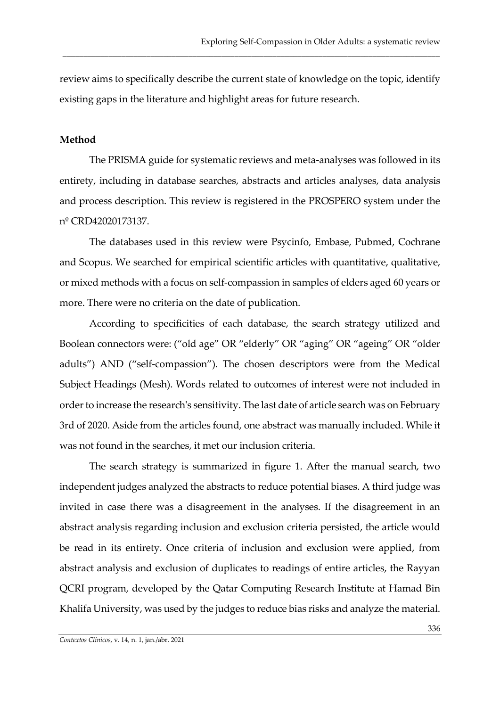review aims to specifically describe the current state of knowledge on the topic, identify existing gaps in the literature and highlight areas for future research.

\_\_\_\_\_\_\_\_\_\_\_\_\_\_\_\_\_\_\_\_\_\_\_\_\_\_\_\_\_\_\_\_\_\_\_\_\_\_\_\_\_\_\_\_\_\_\_\_\_\_\_\_\_\_\_\_\_\_\_\_\_\_\_\_\_\_\_\_\_\_\_\_\_\_\_\_\_\_\_\_\_\_\_\_\_\_\_\_\_\_

### **Method**

The PRISMA guide for systematic reviews and meta-analyses was followed in its entirety, including in database searches, abstracts and articles analyses, data analysis and process description. This review is registered in the PROSPERO system under the nº CRD42020173137.

The databases used in this review were Psycinfo, Embase, Pubmed, Cochrane and Scopus. We searched for empirical scientific articles with quantitative, qualitative, or mixed methods with a focus on self-compassion in samples of elders aged 60 years or more. There were no criteria on the date of publication.

According to specificities of each database, the search strategy utilized and Boolean connectors were: ("old age" OR "elderly" OR "aging" OR "ageing" OR "older adults") AND ("self-compassion"). The chosen descriptors were from the Medical Subject Headings (Mesh). Words related to outcomes of interest were not included in order to increase the research's sensitivity. The last date of article search was on February 3rd of 2020. Aside from the articles found, one abstract was manually included. While it was not found in the searches, it met our inclusion criteria.

The search strategy is summarized in figure 1. After the manual search, two independent judges analyzed the abstracts to reduce potential biases. A third judge was invited in case there was a disagreement in the analyses. If the disagreement in an abstract analysis regarding inclusion and exclusion criteria persisted, the article would be read in its entirety. Once criteria of inclusion and exclusion were applied, from abstract analysis and exclusion of duplicates to readings of entire articles, the Rayyan QCRI program, developed by the Qatar Computing Research Institute at Hamad Bin Khalifa University, was used by the judges to reduce bias risks and analyze the material.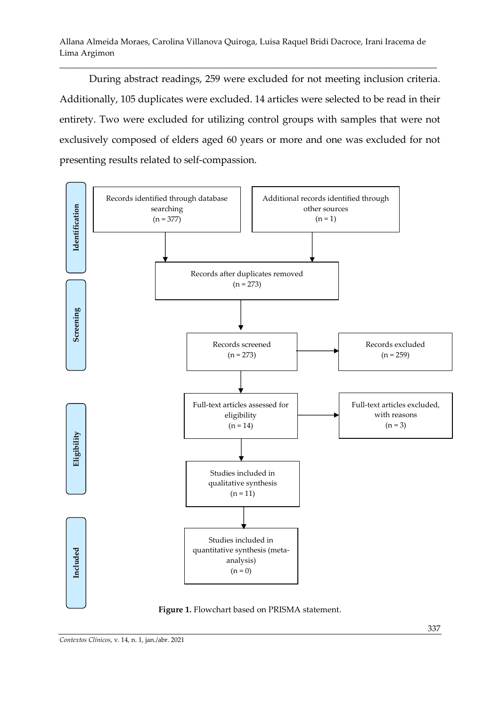\_\_\_\_\_\_\_\_\_\_\_\_\_\_\_\_\_\_\_\_\_\_\_\_\_\_\_\_\_\_\_\_\_\_\_\_\_\_\_\_\_\_\_\_\_\_\_\_\_\_\_\_\_\_\_\_\_\_\_\_\_\_\_\_\_\_\_\_\_\_\_\_\_\_\_\_\_\_\_\_\_\_\_\_\_\_\_\_\_\_

During abstract readings, 259 were excluded for not meeting inclusion criteria. Additionally, 105 duplicates were excluded. 14 articles were selected to be read in their entirety. Two were excluded for utilizing control groups with samples that were not exclusively composed of elders aged 60 years or more and one was excluded for not presenting results related to self-compassion.



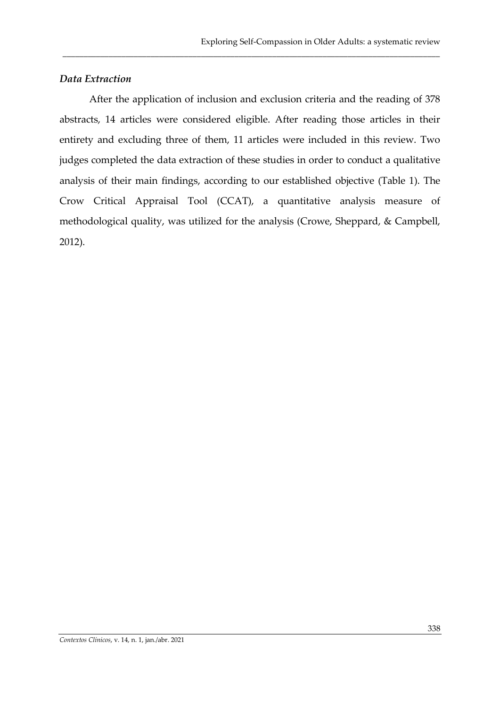# *Data Extraction*

After the application of inclusion and exclusion criteria and the reading of 378 abstracts, 14 articles were considered eligible. After reading those articles in their entirety and excluding three of them, 11 articles were included in this review. Two judges completed the data extraction of these studies in order to conduct a qualitative analysis of their main findings, according to our established objective (Table 1). The Crow Critical Appraisal Tool (CCAT), a quantitative analysis measure of methodological quality, was utilized for the analysis (Crowe, Sheppard, & Campbell, 2012).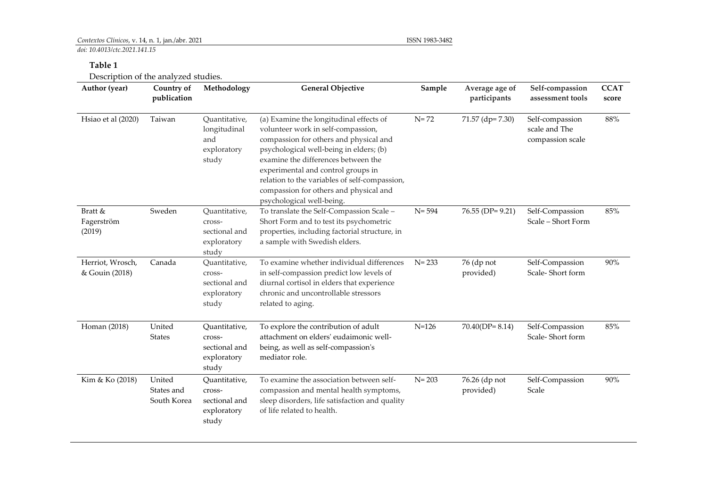## *Contextos Clínicos*, v. 14, n. 1, jan./abr. 2021 ISSN 1983-3482

*doi: 10.4013/ctc.2021.141.15*

### **Table 1**

Description of the analyzed studies.

| Author (year)                      | Country of<br>publication           | Methodology                                                      | <b>General Objective</b>                                                                                                                                                                                                                                                                                                                                                | Sample    | Average age of<br>participants | Self-compassion<br>assessment tools                  | <b>CCAT</b><br>score |
|------------------------------------|-------------------------------------|------------------------------------------------------------------|-------------------------------------------------------------------------------------------------------------------------------------------------------------------------------------------------------------------------------------------------------------------------------------------------------------------------------------------------------------------------|-----------|--------------------------------|------------------------------------------------------|----------------------|
| Hsiao et al (2020)                 | Taiwan                              | Quantitative,<br>longitudinal<br>and<br>exploratory<br>study     | (a) Examine the longitudinal effects of<br>volunteer work in self-compassion,<br>compassion for others and physical and<br>psychological well-being in elders; (b)<br>examine the differences between the<br>experimental and control groups in<br>relation to the variables of self-compassion,<br>compassion for others and physical and<br>psychological well-being. | $N = 72$  | 71.57 (dp= 7.30)               | Self-compassion<br>scale and The<br>compassion scale | $88\%$               |
| Bratt &<br>Fagerström<br>(2019)    | Sweden                              | Quantitative,<br>cross-<br>sectional and<br>exploratory<br>study | To translate the Self-Compassion Scale -<br>Short Form and to test its psychometric<br>properties, including factorial structure, in<br>a sample with Swedish elders.                                                                                                                                                                                                   | $N = 594$ | $76.55$ (DP= 9.21)             | Self-Compassion<br>Scale - Short Form                | 85%                  |
| Herriot, Wrosch,<br>& Gouin (2018) | Canada                              | Quantitative,<br>cross-<br>sectional and<br>exploratory<br>study | To examine whether individual differences<br>in self-compassion predict low levels of<br>diurnal cortisol in elders that experience<br>chronic and uncontrollable stressors<br>related to aging.                                                                                                                                                                        | $N = 233$ | 76 (dp not<br>provided)        | Self-Compassion<br>Scale-Short form                  | 90%                  |
| Homan (2018)                       | United<br><b>States</b>             | Quantitative,<br>cross-<br>sectional and<br>exploratory<br>study | To explore the contribution of adult<br>attachment on elders' eudaimonic well-<br>being, as well as self-compassion's<br>mediator role.                                                                                                                                                                                                                                 | $N = 126$ | $70.40(DP=8.14)$               | Self-Compassion<br>Scale-Short form                  | 85%                  |
| Kim & Ko (2018)                    | United<br>States and<br>South Korea | Quantitative,<br>cross-<br>sectional and<br>exploratory<br>study | To examine the association between self-<br>compassion and mental health symptoms,<br>sleep disorders, life satisfaction and quality<br>of life related to health.                                                                                                                                                                                                      | $N = 203$ | 76.26 (dp not<br>provided)     | Self-Compassion<br>Scale                             | 90%                  |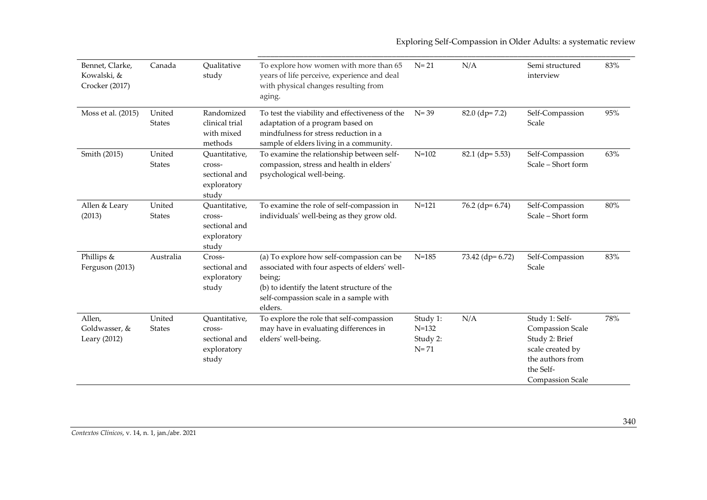Exploring Self-Compassion in Older Adults: a systematic review

| Bennet, Clarke,<br>Kowalski, &<br>Crocker (2017) | Canada                  | Qualitative<br>study                                             | To explore how women with more than 65<br>years of life perceive, experience and deal<br>with physical changes resulting from<br>aging.                                                                  | $N = 21$                                      | N/A               | Semi structured<br>interview                                                                                                         | 83% |
|--------------------------------------------------|-------------------------|------------------------------------------------------------------|----------------------------------------------------------------------------------------------------------------------------------------------------------------------------------------------------------|-----------------------------------------------|-------------------|--------------------------------------------------------------------------------------------------------------------------------------|-----|
| Moss et al. (2015)                               | United<br><b>States</b> | Randomized<br>clinical trial<br>with mixed<br>methods            | To test the viability and effectiveness of the<br>adaptation of a program based on<br>mindfulness for stress reduction in a<br>sample of elders living in a community.                                   | $N = 39$                                      | $82.0$ (dp= 7.2)  | Self-Compassion<br>Scale                                                                                                             | 95% |
| Smith (2015)                                     | United<br><b>States</b> | Ouantitative,<br>cross-<br>sectional and<br>exploratory<br>study | To examine the relationship between self-<br>compassion, stress and health in elders'<br>psychological well-being.                                                                                       | $N = 102$                                     | $82.1$ (dp= 5.53) | Self-Compassion<br>Scale - Short form                                                                                                | 63% |
| Allen & Leary<br>(2013)                          | United<br><b>States</b> | Quantitative,<br>cross-<br>sectional and<br>exploratory<br>study | To examine the role of self-compassion in<br>individuals' well-being as they grow old.                                                                                                                   | $N = 121$                                     | $76.2$ (dp= 6.74) | Self-Compassion<br>Scale - Short form                                                                                                | 80% |
| Phillips &<br>Ferguson (2013)                    | Australia               | Cross-<br>sectional and<br>exploratory<br>study                  | (a) To explore how self-compassion can be<br>associated with four aspects of elders' well-<br>being;<br>(b) to identify the latent structure of the<br>self-compassion scale in a sample with<br>elders. | $N = 185$                                     | 73.42 (dp= 6.72)  | Self-Compassion<br>Scale                                                                                                             | 83% |
| Allen,<br>Goldwasser, &<br>Leary (2012)          | United<br><b>States</b> | Quantitative,<br>cross-<br>sectional and<br>exploratory<br>study | To explore the role that self-compassion<br>may have in evaluating differences in<br>elders' well-being.                                                                                                 | Study 1:<br>$N = 132$<br>Study 2:<br>$N = 71$ | N/A               | Study 1: Self-<br>Compassion Scale<br>Study 2: Brief<br>scale created by<br>the authors from<br>the Self-<br><b>Compassion Scale</b> | 78% |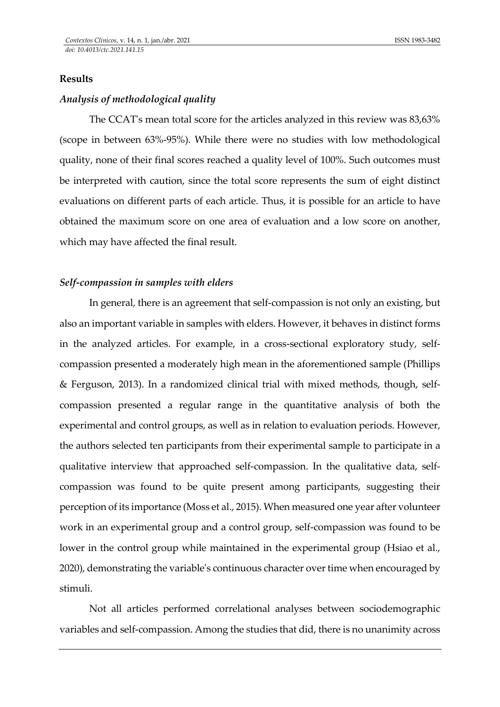## **Results**

### *Analysis of methodological quality*

The CCAT's mean total score for the articles analyzed in this review was 83,63% (scope in between 63%-95%). While there were no studies with low methodological quality, none of their final scores reached a quality level of 100%. Such outcomes must be interpreted with caution, since the total score represents the sum of eight distinct evaluations on different parts of each article. Thus, it is possible for an article to have obtained the maximum score on one area of evaluation and a low score on another, which may have affected the final result.

### *Self-compassion in samples with elders*

In general, there is an agreement that self-compassion is not only an existing, but also an important variable in samples with elders. However, it behaves in distinct forms in the analyzed articles. For example, in a cross-sectional exploratory study, selfcompassion presented a moderately high mean in the aforementioned sample (Phillips & Ferguson, 2013). In a randomized clinical trial with mixed methods, though, selfcompassion presented a regular range in the quantitative analysis of both the experimental and control groups, as well as in relation to evaluation periods. However, the authors selected ten participants from their experimental sample to participate in a qualitative interview that approached self-compassion. In the qualitative data, selfcompassion was found to be quite present among participants, suggesting their perception of its importance (Moss et al., 2015). When measured one year after volunteer work in an experimental group and a control group, self-compassion was found to be lower in the control group while maintained in the experimental group (Hsiao et al., 2020), demonstrating the variable's continuous character over time when encouraged by stimuli.

Not all articles performed correlational analyses between sociodemographic variables and self-compassion. Among the studies that did, there is no unanimity across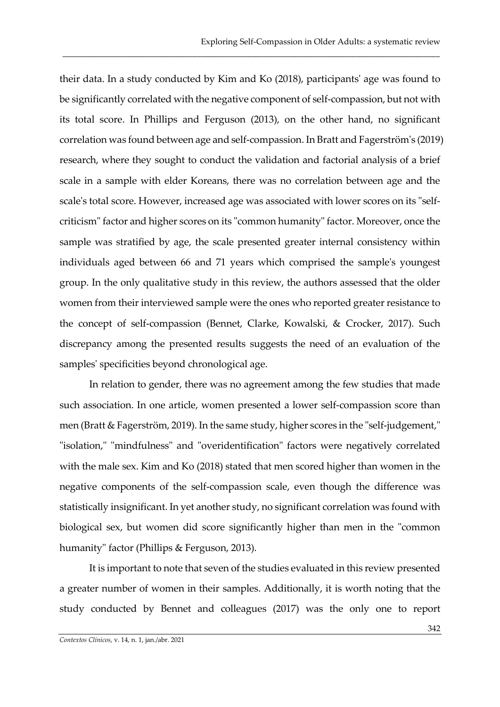their data. In a study conducted by Kim and Ko (2018), participants' age was found to be significantly correlated with the negative component of self-compassion, but not with its total score. In Phillips and Ferguson (2013), on the other hand, no significant correlation was found between age and self-compassion. In Bratt and Fagerström's (2019) research, where they sought to conduct the validation and factorial analysis of a brief scale in a sample with elder Koreans, there was no correlation between age and the scale's total score. However, increased age was associated with lower scores on its "selfcriticism" factor and higher scores on its "common humanity" factor. Moreover, once the sample was stratified by age, the scale presented greater internal consistency within individuals aged between 66 and 71 years which comprised the sample's youngest group. In the only qualitative study in this review, the authors assessed that the older women from their interviewed sample were the ones who reported greater resistance to the concept of self-compassion (Bennet, Clarke, Kowalski, & Crocker, 2017). Such discrepancy among the presented results suggests the need of an evaluation of the samples' specificities beyond chronological age.

\_\_\_\_\_\_\_\_\_\_\_\_\_\_\_\_\_\_\_\_\_\_\_\_\_\_\_\_\_\_\_\_\_\_\_\_\_\_\_\_\_\_\_\_\_\_\_\_\_\_\_\_\_\_\_\_\_\_\_\_\_\_\_\_\_\_\_\_\_\_\_\_\_\_\_\_\_\_\_\_\_\_\_\_\_\_\_\_\_\_

In relation to gender, there was no agreement among the few studies that made such association. In one article, women presented a lower self-compassion score than men (Bratt & Fagerström, 2019). In the same study, higher scores in the "self-judgement," "isolation," "mindfulness" and "overidentification" factors were negatively correlated with the male sex. Kim and Ko (2018) stated that men scored higher than women in the negative components of the self-compassion scale, even though the difference was statistically insignificant. In yet another study, no significant correlation was found with biological sex, but women did score significantly higher than men in the "common humanity" factor (Phillips & Ferguson, 2013).

It is important to note that seven of the studies evaluated in this review presented a greater number of women in their samples. Additionally, it is worth noting that the study conducted by Bennet and colleagues (2017) was the only one to report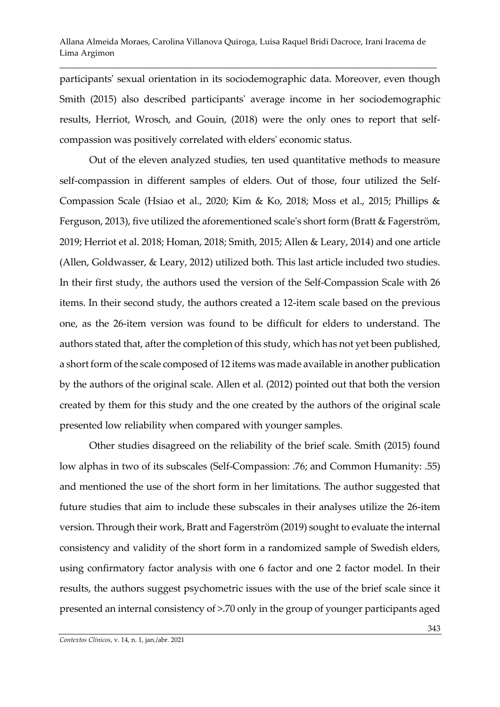\_\_\_\_\_\_\_\_\_\_\_\_\_\_\_\_\_\_\_\_\_\_\_\_\_\_\_\_\_\_\_\_\_\_\_\_\_\_\_\_\_\_\_\_\_\_\_\_\_\_\_\_\_\_\_\_\_\_\_\_\_\_\_\_\_\_\_\_\_\_\_\_\_\_\_\_\_\_\_\_\_\_\_\_\_\_\_\_\_\_

participants' sexual orientation in its sociodemographic data. Moreover, even though Smith (2015) also described participants' average income in her sociodemographic results, Herriot, Wrosch, and Gouin, (2018) were the only ones to report that selfcompassion was positively correlated with elders' economic status.

Out of the eleven analyzed studies, ten used quantitative methods to measure self-compassion in different samples of elders. Out of those, four utilized the Self-Compassion Scale (Hsiao et al., 2020; Kim & Ko, 2018; Moss et al., 2015; Phillips & Ferguson, 2013), five utilized the aforementioned scale's short form (Bratt & Fagerström, 2019; Herriot et al. 2018; Homan, 2018; Smith, 2015; Allen & Leary, 2014) and one article (Allen, Goldwasser, & Leary, 2012) utilized both. This last article included two studies. In their first study, the authors used the version of the Self-Compassion Scale with 26 items. In their second study, the authors created a 12-item scale based on the previous one, as the 26-item version was found to be difficult for elders to understand. The authors stated that, after the completion of this study, which has not yet been published, a short form of the scale composed of 12 items was made available in another publication by the authors of the original scale. Allen et al. (2012) pointed out that both the version created by them for this study and the one created by the authors of the original scale presented low reliability when compared with younger samples.

Other studies disagreed on the reliability of the brief scale. Smith (2015) found low alphas in two of its subscales (Self-Compassion: .76; and Common Humanity: .55) and mentioned the use of the short form in her limitations. The author suggested that future studies that aim to include these subscales in their analyses utilize the 26-item version. Through their work, Bratt and Fagerström (2019) sought to evaluate the internal consistency and validity of the short form in a randomized sample of Swedish elders, using confirmatory factor analysis with one 6 factor and one 2 factor model. In their results, the authors suggest psychometric issues with the use of the brief scale since it presented an internal consistency of >.70 only in the group of younger participants aged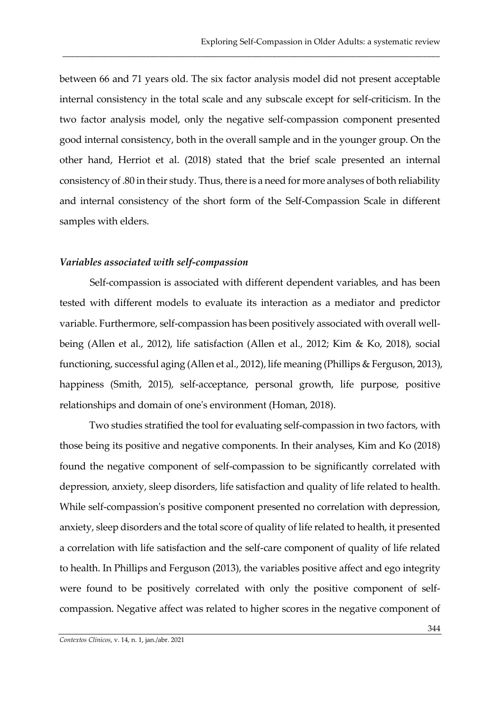between 66 and 71 years old. The six factor analysis model did not present acceptable internal consistency in the total scale and any subscale except for self-criticism. In the two factor analysis model, only the negative self-compassion component presented good internal consistency, both in the overall sample and in the younger group. On the other hand, Herriot et al. (2018) stated that the brief scale presented an internal consistency of .80 in their study. Thus, there is a need for more analyses of both reliability and internal consistency of the short form of the Self-Compassion Scale in different samples with elders.

\_\_\_\_\_\_\_\_\_\_\_\_\_\_\_\_\_\_\_\_\_\_\_\_\_\_\_\_\_\_\_\_\_\_\_\_\_\_\_\_\_\_\_\_\_\_\_\_\_\_\_\_\_\_\_\_\_\_\_\_\_\_\_\_\_\_\_\_\_\_\_\_\_\_\_\_\_\_\_\_\_\_\_\_\_\_\_\_\_\_

### *Variables associated with self-compassion*

Self-compassion is associated with different dependent variables, and has been tested with different models to evaluate its interaction as a mediator and predictor variable. Furthermore, self-compassion has been positively associated with overall wellbeing (Allen et al., 2012), life satisfaction (Allen et al., 2012; Kim & Ko, 2018), social functioning, successful aging (Allen et al., 2012), life meaning (Phillips & Ferguson, 2013), happiness (Smith, 2015), self-acceptance, personal growth, life purpose, positive relationships and domain of one's environment (Homan, 2018).

Two studies stratified the tool for evaluating self-compassion in two factors, with those being its positive and negative components. In their analyses, Kim and Ko (2018) found the negative component of self-compassion to be significantly correlated with depression, anxiety, sleep disorders, life satisfaction and quality of life related to health. While self-compassion's positive component presented no correlation with depression, anxiety, sleep disorders and the total score of quality of life related to health, it presented a correlation with life satisfaction and the self-care component of quality of life related to health. In Phillips and Ferguson (2013), the variables positive affect and ego integrity were found to be positively correlated with only the positive component of selfcompassion. Negative affect was related to higher scores in the negative component of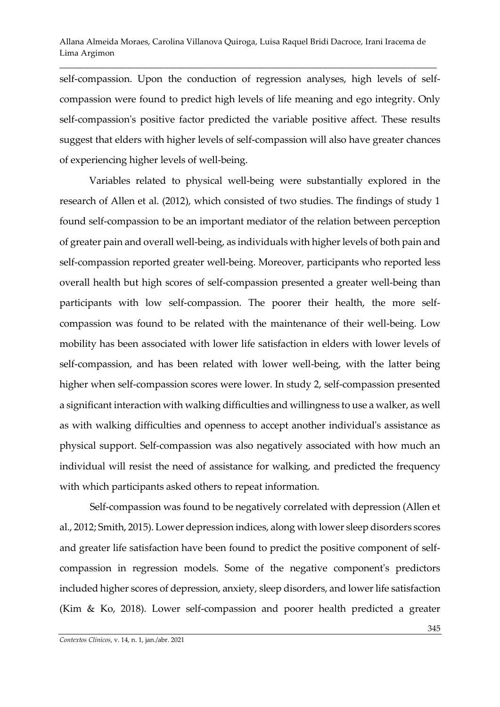\_\_\_\_\_\_\_\_\_\_\_\_\_\_\_\_\_\_\_\_\_\_\_\_\_\_\_\_\_\_\_\_\_\_\_\_\_\_\_\_\_\_\_\_\_\_\_\_\_\_\_\_\_\_\_\_\_\_\_\_\_\_\_\_\_\_\_\_\_\_\_\_\_\_\_\_\_\_\_\_\_\_\_\_\_\_\_\_\_\_

self-compassion. Upon the conduction of regression analyses, high levels of selfcompassion were found to predict high levels of life meaning and ego integrity. Only self-compassion's positive factor predicted the variable positive affect. These results suggest that elders with higher levels of self-compassion will also have greater chances of experiencing higher levels of well-being.

Variables related to physical well-being were substantially explored in the research of Allen et al. (2012), which consisted of two studies. The findings of study 1 found self-compassion to be an important mediator of the relation between perception of greater pain and overall well-being, as individuals with higher levels of both pain and self-compassion reported greater well-being. Moreover, participants who reported less overall health but high scores of self-compassion presented a greater well-being than participants with low self-compassion. The poorer their health, the more selfcompassion was found to be related with the maintenance of their well-being. Low mobility has been associated with lower life satisfaction in elders with lower levels of self-compassion, and has been related with lower well-being, with the latter being higher when self-compassion scores were lower. In study 2, self-compassion presented a significant interaction with walking difficulties and willingness to use a walker, as well as with walking difficulties and openness to accept another individual's assistance as physical support. Self-compassion was also negatively associated with how much an individual will resist the need of assistance for walking, and predicted the frequency with which participants asked others to repeat information.

Self-compassion was found to be negatively correlated with depression (Allen et al., 2012; Smith, 2015). Lower depression indices, along with lower sleep disorders scores and greater life satisfaction have been found to predict the positive component of selfcompassion in regression models. Some of the negative component's predictors included higher scores of depression, anxiety, sleep disorders, and lower life satisfaction (Kim & Ko, 2018). Lower self-compassion and poorer health predicted a greater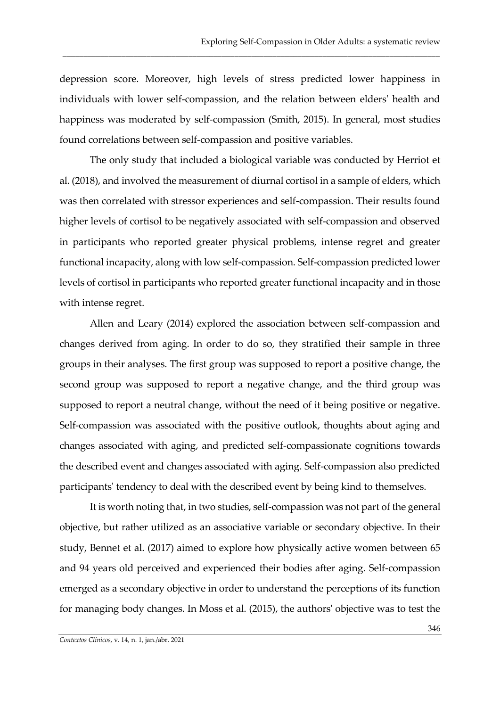depression score. Moreover, high levels of stress predicted lower happiness in individuals with lower self-compassion, and the relation between elders' health and happiness was moderated by self-compassion (Smith, 2015). In general, most studies found correlations between self-compassion and positive variables.

\_\_\_\_\_\_\_\_\_\_\_\_\_\_\_\_\_\_\_\_\_\_\_\_\_\_\_\_\_\_\_\_\_\_\_\_\_\_\_\_\_\_\_\_\_\_\_\_\_\_\_\_\_\_\_\_\_\_\_\_\_\_\_\_\_\_\_\_\_\_\_\_\_\_\_\_\_\_\_\_\_\_\_\_\_\_\_\_\_\_

The only study that included a biological variable was conducted by Herriot et al. (2018), and involved the measurement of diurnal cortisol in a sample of elders, which was then correlated with stressor experiences and self-compassion. Their results found higher levels of cortisol to be negatively associated with self-compassion and observed in participants who reported greater physical problems, intense regret and greater functional incapacity, along with low self-compassion. Self-compassion predicted lower levels of cortisol in participants who reported greater functional incapacity and in those with intense regret.

Allen and Leary (2014) explored the association between self-compassion and changes derived from aging. In order to do so, they stratified their sample in three groups in their analyses. The first group was supposed to report a positive change, the second group was supposed to report a negative change, and the third group was supposed to report a neutral change, without the need of it being positive or negative. Self-compassion was associated with the positive outlook, thoughts about aging and changes associated with aging, and predicted self-compassionate cognitions towards the described event and changes associated with aging. Self-compassion also predicted participants' tendency to deal with the described event by being kind to themselves.

It is worth noting that, in two studies, self-compassion was not part of the general objective, but rather utilized as an associative variable or secondary objective. In their study, Bennet et al. (2017) aimed to explore how physically active women between 65 and 94 years old perceived and experienced their bodies after aging. Self-compassion emerged as a secondary objective in order to understand the perceptions of its function for managing body changes. In Moss et al. (2015), the authors' objective was to test the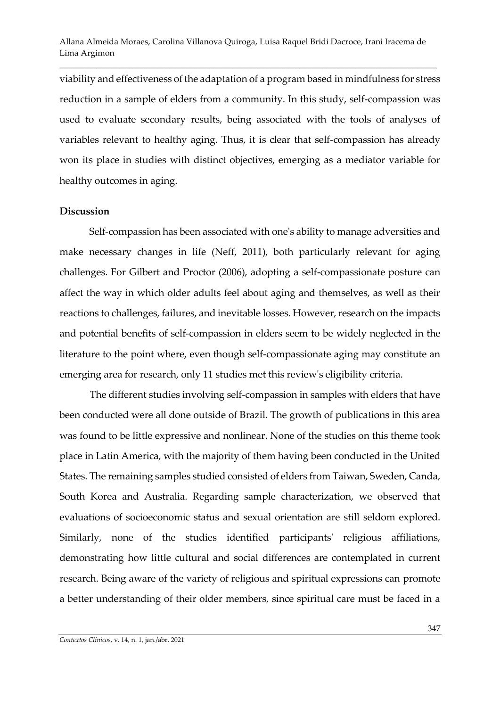\_\_\_\_\_\_\_\_\_\_\_\_\_\_\_\_\_\_\_\_\_\_\_\_\_\_\_\_\_\_\_\_\_\_\_\_\_\_\_\_\_\_\_\_\_\_\_\_\_\_\_\_\_\_\_\_\_\_\_\_\_\_\_\_\_\_\_\_\_\_\_\_\_\_\_\_\_\_\_\_\_\_\_\_\_\_\_\_\_\_

viability and effectiveness of the adaptation of a program based in mindfulness for stress reduction in a sample of elders from a community. In this study, self-compassion was used to evaluate secondary results, being associated with the tools of analyses of variables relevant to healthy aging. Thus, it is clear that self-compassion has already won its place in studies with distinct objectives, emerging as a mediator variable for healthy outcomes in aging.

#### **Discussion**

Self-compassion has been associated with one's ability to manage adversities and make necessary changes in life (Neff, 2011), both particularly relevant for aging challenges. For Gilbert and Proctor (2006), adopting a self-compassionate posture can affect the way in which older adults feel about aging and themselves, as well as their reactions to challenges, failures, and inevitable losses. However, research on the impacts and potential benefits of self-compassion in elders seem to be widely neglected in the literature to the point where, even though self-compassionate aging may constitute an emerging area for research, only 11 studies met this review's eligibility criteria.

The different studies involving self-compassion in samples with elders that have been conducted were all done outside of Brazil. The growth of publications in this area was found to be little expressive and nonlinear. None of the studies on this theme took place in Latin America, with the majority of them having been conducted in the United States. The remaining samples studied consisted of elders from Taiwan, Sweden, Canda, South Korea and Australia. Regarding sample characterization, we observed that evaluations of socioeconomic status and sexual orientation are still seldom explored. Similarly, none of the studies identified participants' religious affiliations, demonstrating how little cultural and social differences are contemplated in current research. Being aware of the variety of religious and spiritual expressions can promote a better understanding of their older members, since spiritual care must be faced in a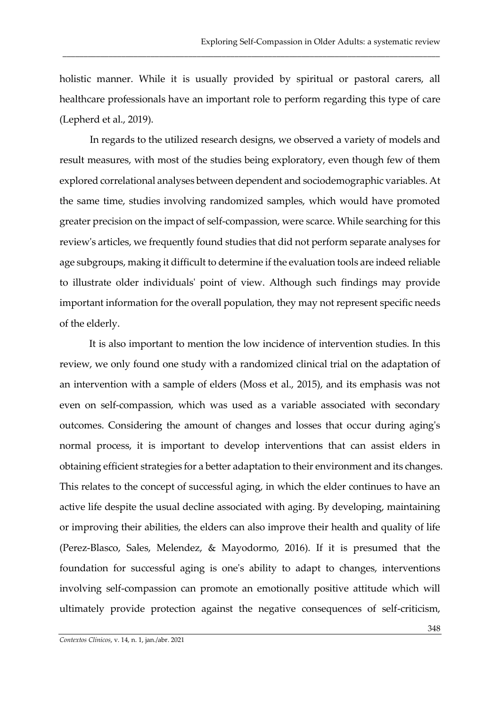holistic manner. While it is usually provided by spiritual or pastoral carers, all healthcare professionals have an important role to perform regarding this type of care (Lepherd et al., 2019).

\_\_\_\_\_\_\_\_\_\_\_\_\_\_\_\_\_\_\_\_\_\_\_\_\_\_\_\_\_\_\_\_\_\_\_\_\_\_\_\_\_\_\_\_\_\_\_\_\_\_\_\_\_\_\_\_\_\_\_\_\_\_\_\_\_\_\_\_\_\_\_\_\_\_\_\_\_\_\_\_\_\_\_\_\_\_\_\_\_\_

In regards to the utilized research designs, we observed a variety of models and result measures, with most of the studies being exploratory, even though few of them explored correlational analyses between dependent and sociodemographic variables. At the same time, studies involving randomized samples, which would have promoted greater precision on the impact of self-compassion, were scarce. While searching for this review's articles, we frequently found studies that did not perform separate analyses for age subgroups, making it difficult to determine if the evaluation tools are indeed reliable to illustrate older individuals' point of view. Although such findings may provide important information for the overall population, they may not represent specific needs of the elderly.

It is also important to mention the low incidence of intervention studies. In this review, we only found one study with a randomized clinical trial on the adaptation of an intervention with a sample of elders (Moss et al., 2015), and its emphasis was not even on self-compassion, which was used as a variable associated with secondary outcomes. Considering the amount of changes and losses that occur during aging's normal process, it is important to develop interventions that can assist elders in obtaining efficient strategies for a better adaptation to their environment and its changes. This relates to the concept of successful aging, in which the elder continues to have an active life despite the usual decline associated with aging. By developing, maintaining or improving their abilities, the elders can also improve their health and quality of life (Perez-Blasco, Sales, Melendez, & Mayodormo, 2016). If it is presumed that the foundation for successful aging is one's ability to adapt to changes, interventions involving self-compassion can promote an emotionally positive attitude which will ultimately provide protection against the negative consequences of self-criticism,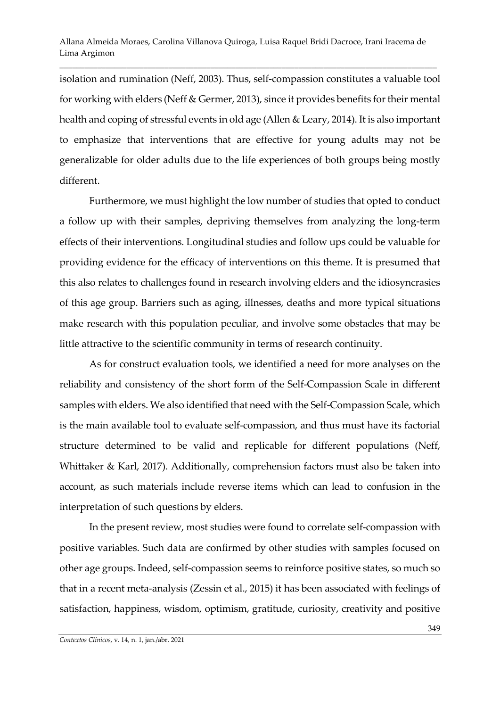\_\_\_\_\_\_\_\_\_\_\_\_\_\_\_\_\_\_\_\_\_\_\_\_\_\_\_\_\_\_\_\_\_\_\_\_\_\_\_\_\_\_\_\_\_\_\_\_\_\_\_\_\_\_\_\_\_\_\_\_\_\_\_\_\_\_\_\_\_\_\_\_\_\_\_\_\_\_\_\_\_\_\_\_\_\_\_\_\_\_

isolation and rumination (Neff, 2003). Thus, self-compassion constitutes a valuable tool for working with elders (Neff & Germer, 2013), since it provides benefits for their mental health and coping of stressful events in old age (Allen & Leary, 2014). It is also important to emphasize that interventions that are effective for young adults may not be generalizable for older adults due to the life experiences of both groups being mostly different.

Furthermore, we must highlight the low number of studies that opted to conduct a follow up with their samples, depriving themselves from analyzing the long-term effects of their interventions. Longitudinal studies and follow ups could be valuable for providing evidence for the efficacy of interventions on this theme. It is presumed that this also relates to challenges found in research involving elders and the idiosyncrasies of this age group. Barriers such as aging, illnesses, deaths and more typical situations make research with this population peculiar, and involve some obstacles that may be little attractive to the scientific community in terms of research continuity.

As for construct evaluation tools, we identified a need for more analyses on the reliability and consistency of the short form of the Self-Compassion Scale in different samples with elders. We also identified that need with the Self-Compassion Scale, which is the main available tool to evaluate self-compassion, and thus must have its factorial structure determined to be valid and replicable for different populations (Neff, Whittaker & Karl, 2017). Additionally, comprehension factors must also be taken into account, as such materials include reverse items which can lead to confusion in the interpretation of such questions by elders.

In the present review, most studies were found to correlate self-compassion with positive variables. Such data are confirmed by other studies with samples focused on other age groups. Indeed, self-compassion seems to reinforce positive states, so much so that in a recent meta-analysis (Zessin et al., 2015) it has been associated with feelings of satisfaction, happiness, wisdom, optimism, gratitude, curiosity, creativity and positive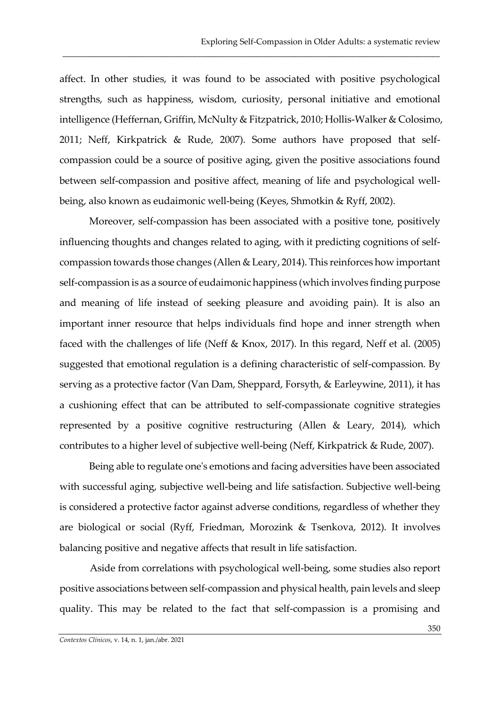affect. In other studies, it was found to be associated with positive psychological strengths, such as happiness, wisdom, curiosity, personal initiative and emotional intelligence (Heffernan, Griffin, McNulty & Fitzpatrick, 2010; Hollis-Walker & Colosimo, 2011; Neff, Kirkpatrick & Rude, 2007). Some authors have proposed that selfcompassion could be a source of positive aging, given the positive associations found between self-compassion and positive affect, meaning of life and psychological wellbeing, also known as eudaimonic well-being (Keyes, Shmotkin & Ryff, 2002).

\_\_\_\_\_\_\_\_\_\_\_\_\_\_\_\_\_\_\_\_\_\_\_\_\_\_\_\_\_\_\_\_\_\_\_\_\_\_\_\_\_\_\_\_\_\_\_\_\_\_\_\_\_\_\_\_\_\_\_\_\_\_\_\_\_\_\_\_\_\_\_\_\_\_\_\_\_\_\_\_\_\_\_\_\_\_\_\_\_\_

Moreover, self-compassion has been associated with a positive tone, positively influencing thoughts and changes related to aging, with it predicting cognitions of selfcompassion towards those changes (Allen & Leary, 2014). This reinforces how important self-compassion is as a source of eudaimonic happiness (which involves finding purpose and meaning of life instead of seeking pleasure and avoiding pain). It is also an important inner resource that helps individuals find hope and inner strength when faced with the challenges of life (Neff & Knox, 2017). In this regard, Neff et al. (2005) suggested that emotional regulation is a defining characteristic of self-compassion. By serving as a protective factor (Van Dam, Sheppard, Forsyth, & Earleywine, 2011), it has a cushioning effect that can be attributed to self-compassionate cognitive strategies represented by a positive cognitive restructuring (Allen & Leary, 2014), which contributes to a higher level of subjective well-being (Neff, Kirkpatrick & Rude, 2007).

Being able to regulate one's emotions and facing adversities have been associated with successful aging, subjective well-being and life satisfaction. Subjective well-being is considered a protective factor against adverse conditions, regardless of whether they are biological or social (Ryff, Friedman, Morozink & Tsenkova, 2012). It involves balancing positive and negative affects that result in life satisfaction.

Aside from correlations with psychological well-being, some studies also report positive associations between self-compassion and physical health, pain levels and sleep quality. This may be related to the fact that self-compassion is a promising and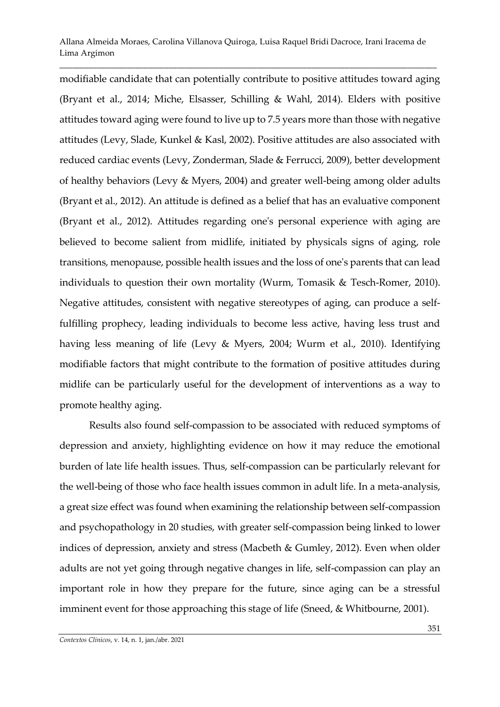\_\_\_\_\_\_\_\_\_\_\_\_\_\_\_\_\_\_\_\_\_\_\_\_\_\_\_\_\_\_\_\_\_\_\_\_\_\_\_\_\_\_\_\_\_\_\_\_\_\_\_\_\_\_\_\_\_\_\_\_\_\_\_\_\_\_\_\_\_\_\_\_\_\_\_\_\_\_\_\_\_\_\_\_\_\_\_\_\_\_

modifiable candidate that can potentially contribute to positive attitudes toward aging (Bryant et al., 2014; Miche, Elsasser, Schilling & Wahl, 2014). Elders with positive attitudes toward aging were found to live up to 7.5 years more than those with negative attitudes (Levy, Slade, Kunkel & Kasl, 2002). Positive attitudes are also associated with reduced cardiac events (Levy, Zonderman, Slade & Ferrucci, 2009), better development of healthy behaviors (Levy & Myers, 2004) and greater well-being among older adults (Bryant et al., 2012). An attitude is defined as a belief that has an evaluative component (Bryant et al., 2012). Attitudes regarding one's personal experience with aging are believed to become salient from midlife, initiated by physicals signs of aging, role transitions, menopause, possible health issues and the loss of one's parents that can lead individuals to question their own mortality (Wurm, Tomasik & Tesch-Romer, 2010). Negative attitudes, consistent with negative stereotypes of aging, can produce a selffulfilling prophecy, leading individuals to become less active, having less trust and having less meaning of life (Levy & Myers, 2004; Wurm et al., 2010). Identifying modifiable factors that might contribute to the formation of positive attitudes during midlife can be particularly useful for the development of interventions as a way to promote healthy aging.

Results also found self-compassion to be associated with reduced symptoms of depression and anxiety, highlighting evidence on how it may reduce the emotional burden of late life health issues. Thus, self-compassion can be particularly relevant for the well-being of those who face health issues common in adult life. In a meta-analysis, a great size effect was found when examining the relationship between self-compassion and psychopathology in 20 studies, with greater self-compassion being linked to lower indices of depression, anxiety and stress (Macbeth & Gumley, 2012). Even when older adults are not yet going through negative changes in life, self-compassion can play an important role in how they prepare for the future, since aging can be a stressful imminent event for those approaching this stage of life (Sneed, & Whitbourne, 2001).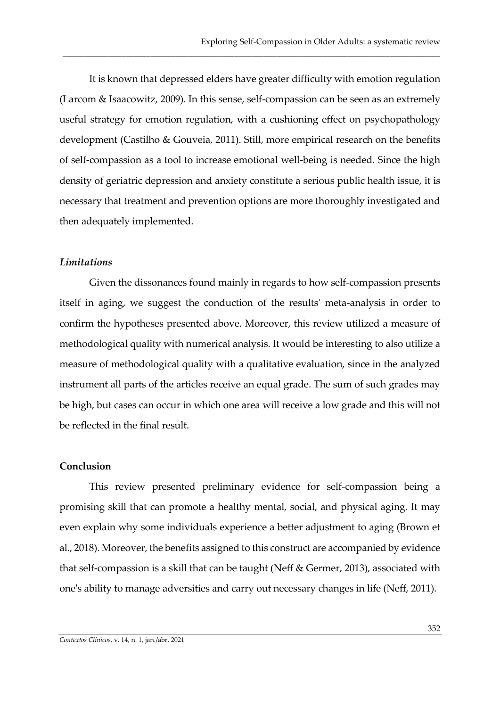It is known that depressed elders have greater difficulty with emotion regulation (Larcom & Isaacowitz, 2009). In this sense, self-compassion can be seen as an extremely useful strategy for emotion regulation, with a cushioning effect on psychopathology development (Castilho & Gouveia, 2011). Still, more empirical research on the benefits of self-compassion as a tool to increase emotional well-being is needed. Since the high density of geriatric depression and anxiety constitute a serious public health issue, it is necessary that treatment and prevention options are more thoroughly investigated and then adequately implemented.

\_\_\_\_\_\_\_\_\_\_\_\_\_\_\_\_\_\_\_\_\_\_\_\_\_\_\_\_\_\_\_\_\_\_\_\_\_\_\_\_\_\_\_\_\_\_\_\_\_\_\_\_\_\_\_\_\_\_\_\_\_\_\_\_\_\_\_\_\_\_\_\_\_\_\_\_\_\_\_\_\_\_\_\_\_\_\_\_\_\_

### *Limitations*

Given the dissonances found mainly in regards to how self-compassion presents itself in aging, we suggest the conduction of the results' meta-analysis in order to confirm the hypotheses presented above. Moreover, this review utilized a measure of methodological quality with numerical analysis. It would be interesting to also utilize a measure of methodological quality with a qualitative evaluation, since in the analyzed instrument all parts of the articles receive an equal grade. The sum of such grades may be high, but cases can occur in which one area will receive a low grade and this will not be reflected in the final result.

### **Conclusion**

This review presented preliminary evidence for self-compassion being a promising skill that can promote a healthy mental, social, and physical aging. It may even explain why some individuals experience a better adjustment to aging (Brown et al., 2018). Moreover, the benefits assigned to this construct are accompanied by evidence that self-compassion is a skill that can be taught (Neff & Germer, 2013), associated with one's ability to manage adversities and carry out necessary changes in life (Neff, 2011).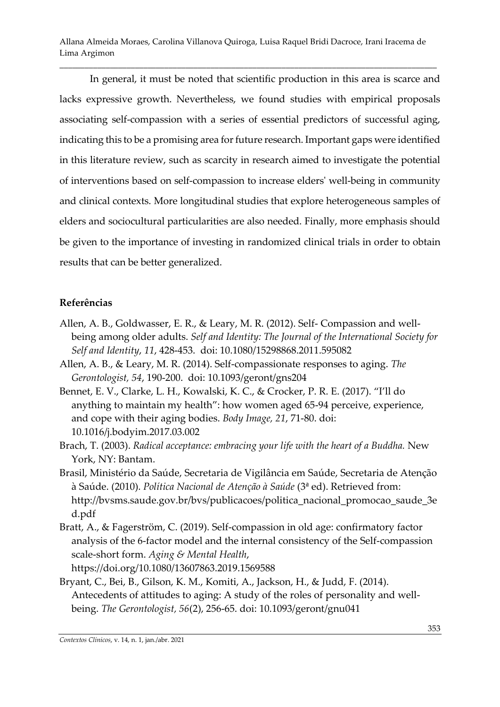\_\_\_\_\_\_\_\_\_\_\_\_\_\_\_\_\_\_\_\_\_\_\_\_\_\_\_\_\_\_\_\_\_\_\_\_\_\_\_\_\_\_\_\_\_\_\_\_\_\_\_\_\_\_\_\_\_\_\_\_\_\_\_\_\_\_\_\_\_\_\_\_\_\_\_\_\_\_\_\_\_\_\_\_\_\_\_\_\_\_

In general, it must be noted that scientific production in this area is scarce and lacks expressive growth. Nevertheless, we found studies with empirical proposals associating self-compassion with a series of essential predictors of successful aging, indicating this to be a promising area for future research. Important gaps were identified in this literature review, such as scarcity in research aimed to investigate the potential of interventions based on self-compassion to increase elders' well-being in community and clinical contexts. More longitudinal studies that explore heterogeneous samples of elders and sociocultural particularities are also needed. Finally, more emphasis should be given to the importance of investing in randomized clinical trials in order to obtain results that can be better generalized.

# **Referências**

- Allen, A. B., Goldwasser, E. R., & Leary, M. R. (2012). Self- Compassion and wellbeing among older adults. *Self and Identity: The Journal of the International Society for Self and Identity*, *11*, 428-453. doi: 10.1080/15298868.2011.595082
- Allen, A. B., & Leary, M. R. (2014). Self-compassionate responses to aging. *The Gerontologist, 54*, 190-200. doi: 10.1093/geront/gns204
- Bennet, E. V., Clarke, L. H., Kowalski, K. C., & Crocker, P. R. E. (2017). "I'll do anything to maintain my health": how women aged 65-94 perceive, experience, and cope with their aging bodies. *Body Image, 21*, 71-80. doi: 10.1016/j.bodyim.2017.03.002
- Brach, T. (2003). *Radical acceptance: embracing your life with the heart of a Buddha.* New York, NY: Bantam.
- Brasil, Ministério da Saúde, Secretaria de Vigilância em Saúde, Secretaria de Atenção à Saúde. (2010). *Política Nacional de Atenção à Saúde* (3ª ed). Retrieved from: [http://bvsms.saude.gov.br/bvs/publicacoes/politica\\_nacional\\_promocao\\_saude\\_3e](http://bvsms.saude.gov.br/bvs/publicacoes/politica_nacional_promocao_saude_3ed.pdf) [d.pdf](http://bvsms.saude.gov.br/bvs/publicacoes/politica_nacional_promocao_saude_3ed.pdf)
- Bratt, A., & Fagerström, C. (2019). Self-compassion in old age: confirmatory factor analysis of the 6-factor model and the internal consistency of the Self-compassion scale-short form. *Aging & Mental Health*, <https://doi.org/10.1080/13607863.2019.1569588>

Bryant, C., Bei, B., Gilson, K. M., Komiti, A., Jackson, H., & Judd, F. (2014). Antecedents of attitudes to aging: A study of the roles of personality and wellbeing. *The Gerontologist, 56*(2), 256-65. doi: 10.1093/geront/gnu041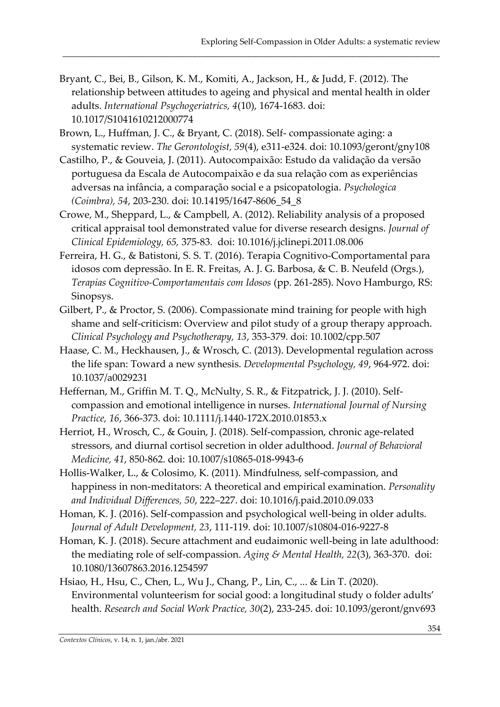Bryant, C., Bei, B., Gilson, K. M., Komiti, A., Jackson, H., & Judd, F. (2012). The relationship between attitudes to ageing and physical and mental health in older adults. *International Psychogeriatrics, 4*(10), 1674-1683. doi: 10.1017/S1041610212000774

- Brown, L., Huffman, J. C., & Bryant, C. (2018). Self- compassionate aging: a systematic review. *The Gerontologist, 59*(4), e311-e324. doi: 10.1093/geront/gny108
- Castilho, P., & Gouveia, J. (2011). Autocompaixão: Estudo da validação da versão portuguesa da Escala de Autocompaixão e da sua relação com as experiências adversas na infância, a comparação social e a psicopatologia. *Psychologica (Coimbra), 54*, 203-230. doi: 10.14195/1647-8606\_54\_8
- Crowe, M., Sheppard, L., & Campbell, A. (2012). Reliability analysis of a proposed critical appraisal tool demonstrated value for diverse research designs. *Journal of Clinical Epidemiology, 65,* 375-83. doi: 10.1016/j.jclinepi.2011.08.006
- Ferreira, H. G., & Batistoni, S. S. T. (2016). Terapia Cognitivo-Comportamental para idosos com depressão. In E. R. Freitas, A. J. G. Barbosa, & C. B. Neufeld (Orgs.), *Terapias Cognitivo-Comportamentais com Idosos* (pp. 261-285). Novo Hamburgo, RS: Sinopsys.
- Gilbert, P., & Proctor, S. (2006). Compassionate mind training for people with high shame and self-criticism: Overview and pilot study of a group therapy approach. *Clinical Psychology and Psychotherapy, 13*, 353-379. doi: 10.1002/cpp.507
- Haase, C. M., Heckhausen, J., & Wrosch, C. (2013). Developmental regulation across the life span: Toward a new synthesis. *Developmental Psychology, 49*, 964-972. doi: 10.1037/a0029231
- Heffernan, M., Griffin M. T. Q., McNulty, S. R., & Fitzpatrick, J. J. (2010). Self‐ compassion and emotional intelligence in nurses. *International Journal of Nursing Practice, 16*, 366-373. doi: 10.1111/j.1440-172X.2010.01853.x
- Herriot, H., Wrosch, C., & Gouin, J. (2018). Self-compassion, chronic age-related stressors, and diurnal cortisol secretion in older adulthood. *Journal of Behavioral Medicine, 41*, 850-862. doi: 10.1007/s10865-018-9943-6
- Hollis-Walker, L., & Colosimo, K. (2011). Mindfulness, self-compassion, and happiness in non-meditators: A theoretical and empirical examination. *Personality and Individual Differences, 50*, 222–227. doi: 10.1016/j.paid.2010.09.033
- Homan, K. J. (2016). Self-compassion and psychological well-being in older adults. *Journal of Adult Development, 23*, 111-119. doi: 10.1007/s10804-016-9227-8
- Homan, K. J. (2018). Secure attachment and eudaimonic well-being in late adulthood: the mediating role of self-compassion. *Aging & Mental Health, 22*(3), 363-370. doi: 10.1080/13607863.2016.1254597
- Hsiao, H., Hsu, C., Chen, L., Wu J., Chang, P., Lin, C., ... & Lin T. (2020). Environmental volunteerism for social good: a longitudinal study o folder adults' health. *Research and Social Work Practice, 30*(2), 233-245. doi: 10.1093/geront/gnv693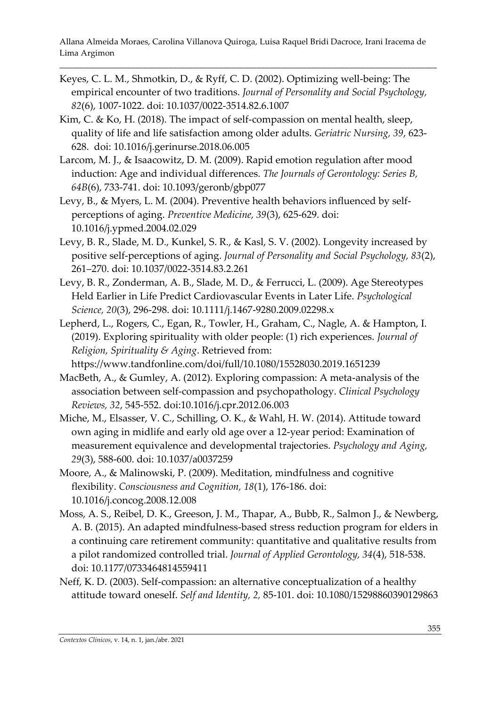- Keyes, C. L. M., Shmotkin, D., & Ryff, C. D. (2002). Optimizing well-being: The empirical encounter of two traditions. *Journal of Personality and Social Psychology, 82*(6), 1007-1022. doi: 10.1037/0022-3514.82.6.1007
- Kim, C. & Ko, H. (2018). The impact of self-compassion on mental health, sleep, quality of life and life satisfaction among older adults. *Geriatric Nursing, 39*, 623- 628. doi: 10.1016/j.gerinurse.2018.06.005
- Larcom, M. J., & Isaacowitz, D. M. (2009). Rapid emotion regulation after mood induction: Age and individual differences. *The Journals of Gerontology: Series B, 64B*(6), 733-741. doi: 10.1093/geronb/gbp077
- Levy, B., & Myers, L. M. (2004). Preventive health behaviors influenced by selfperceptions of aging. *Preventive Medicine, 39*(3), 625-629. doi: 10.1016/j.ypmed.2004.02.029
- Levy, B. R., Slade, M. D., Kunkel, S. R., & Kasl, S. V. (2002). Longevity increased by positive self-perceptions of aging. *Journal of Personality and Social Psychology, 83*(2), 261–270. doi: 10.1037/0022-3514.83.2.261
- Levy, B. R., Zonderman, A. B., Slade, M. D., & Ferrucci, L. (2009). Age Stereotypes Held Earlier in Life Predict Cardiovascular Events in Later Life. *Psychological Science, 20*(3), 296-298. doi: 10.1111/j.1467-9280.2009.02298.x
- Lepherd, L., Rogers, C., Egan, R., Towler, H., Graham, C., Nagle, A. & Hampton, I. (2019). Exploring spirituality with older people: (1) rich experiences. *Journal of Religion, Spirituality & Aging*. Retrieved from: <https://www.tandfonline.com/doi/full/10.1080/15528030.2019.1651239>
- MacBeth, A., & Gumley, A. (2012). Exploring compassion: A meta-analysis of the association between self-compassion and psychopathology. *Clinical Psychology Reviews, 32*, 545-552. doi:10.1016/j.cpr.2012.06.003
- Miche, M., Elsasser, V. C., Schilling, O. K., & Wahl, H. W. (2014). Attitude toward own aging in midlife and early old age over a 12-year period: Examination of measurement equivalence and developmental trajectories. *Psychology and Aging, 29*(3), 588-600. doi: 10.1037/a0037259
- Moore, A., & Malinowski, P. (2009). Meditation, mindfulness and cognitive flexibility. *Consciousness and Cognition, 18*(1), 176-186. doi: 10.1016/j.concog.2008.12.008
- Moss, A. S., Reibel, D. K., Greeson, J. M., Thapar, A., Bubb, R., Salmon J., & Newberg, A. B. (2015). An adapted mindfulness-based stress reduction program for elders in a continuing care retirement community: quantitative and qualitative results from a pilot randomized controlled trial. *Journal of Applied Gerontology, 34*(4), 518-538. doi: 10.1177/0733464814559411
- Neff, K. D. (2003). Self-compassion: an alternative conceptualization of a healthy attitude toward oneself. *Self and Identity, 2,* 85-101. doi: 10.1080/15298860390129863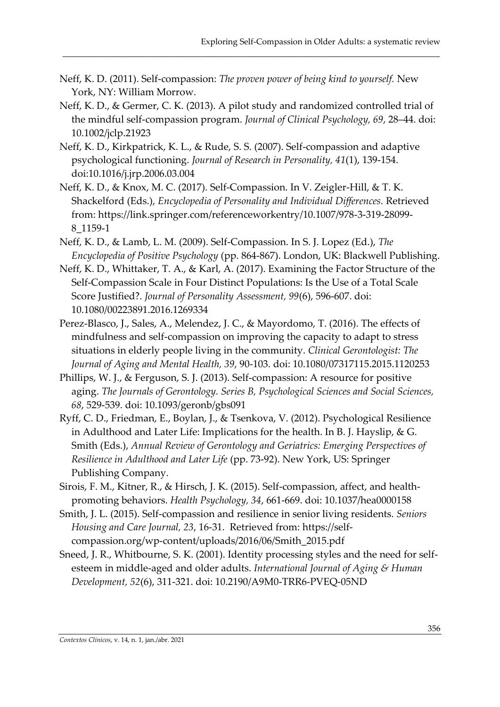- Neff, K. D. (2011). Self-compassion: *The proven power of being kind to yourself.* New York, NY: William Morrow.
- Neff, K. D., & Germer, C. K. (2013). A pilot study and randomized controlled trial of the mindful self-compassion program. *Journal of Clinical Psychology, 69*, 28–44. doi: 10.1002/jclp.21923

- Neff, K. D., Kirkpatrick, K. L., & Rude, S. S. (2007). Self-compassion and adaptive psychological functioning. *Journal of Research in Personality, 41*(1), 139-154. doi:10.1016/j.jrp.2006.03.004
- Neff, K. D., & Knox, M. C. (2017). Self-Compassion. In V. Zeigler-Hill, & T. K. Shackelford (Eds.), *Encyclopedia of Personality and Individual Differences.* Retrieved from: [https://link.springer.com/referenceworkentry/10.1007/978-3-319-28099-](https://link.springer.com/referenceworkentry/10.1007/978-3-319-28099-8_1159-1) [8\\_1159-1](https://link.springer.com/referenceworkentry/10.1007/978-3-319-28099-8_1159-1)
- Neff, K. D., & Lamb, L. M. (2009). Self-Compassion. In S. J. Lopez (Ed.), *The Encyclopedia of Positive Psychology* (pp. 864-867). London, UK: Blackwell Publishing.
- Neff, K. D., Whittaker, T. A., & Karl, A. (2017). Examining the Factor Structure of the Self-Compassion Scale in Four Distinct Populations: Is the Use of a Total Scale Score Justified?. *Journal of Personality Assessment, 99*(6), 596-607. doi: 10.1080/00223891.2016.1269334
- Perez-Blasco, J., Sales, A., Melendez, J. C., & Mayordomo, T. (2016). The effects of mindfulness and self-compassion on improving the capacity to adapt to stress situations in elderly people living in the community. *Clinical Gerontologist: The Journal of Aging and Mental Health, 39*, 90-103. doi: 10.1080/07317115.2015.1120253
- Phillips, W. J., & Ferguson, S. J. (2013). Self-compassion: A resource for positive aging. *The Journals of Gerontology. Series B, Psychological Sciences and Social Sciences, 68*, 529-539. doi: 10.1093/geronb/gbs091
- Ryff, C. D., Friedman, E., Boylan, J., & Tsenkova, V. (2012). Psychological Resilience in Adulthood and Later Life: Implications for the health. In B. J. Hayslip,  $\&$  G. Smith (Eds.), *Annual Review of Gerontology and Geriatrics: Emerging Perspectives of Resilience in Adulthood and Later Life* (pp. 73-92). New York, US: Springer Publishing Company.
- Sirois, F. M., Kitner, R., & Hirsch, J. K. (2015). Self-compassion, affect, and healthpromoting behaviors. *Health Psychology, 34*, 661-669. doi: 10.1037/hea0000158
- Smith, J. L. (2015). Self-compassion and resilience in senior living residents. *Seniors Housing and Care Journal, 23*, 16-31. Retrieved from: [https://self](https://self-compassion.org/wp-content/uploads/2016/06/Smith_2015.pdf)[compassion.org/wp-content/uploads/2016/06/Smith\\_2015.pdf](https://self-compassion.org/wp-content/uploads/2016/06/Smith_2015.pdf)
- Sneed, J. R., Whitbourne, S. K. (2001). Identity processing styles and the need for selfesteem in middle-aged and older adults. *International Journal of Aging & Human Development, 52*(6), 311-321. doi: 10.2190/A9M0-TRR6-PVEQ-05ND